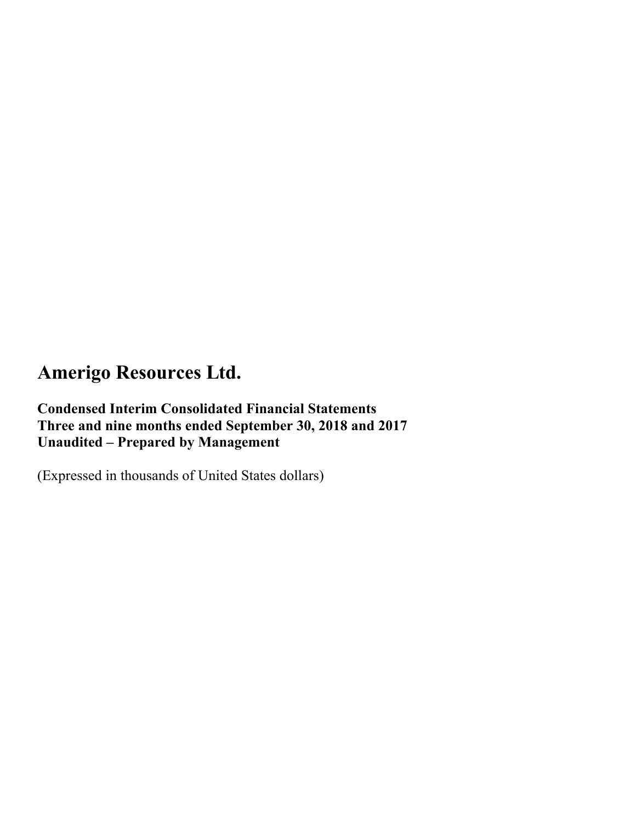**Condensed Interim Consolidated Financial Statements Three and nine months ended September 30, 2018 and 2017 Unaudited – Prepared by Management** 

(Expressed in thousands of United States dollars)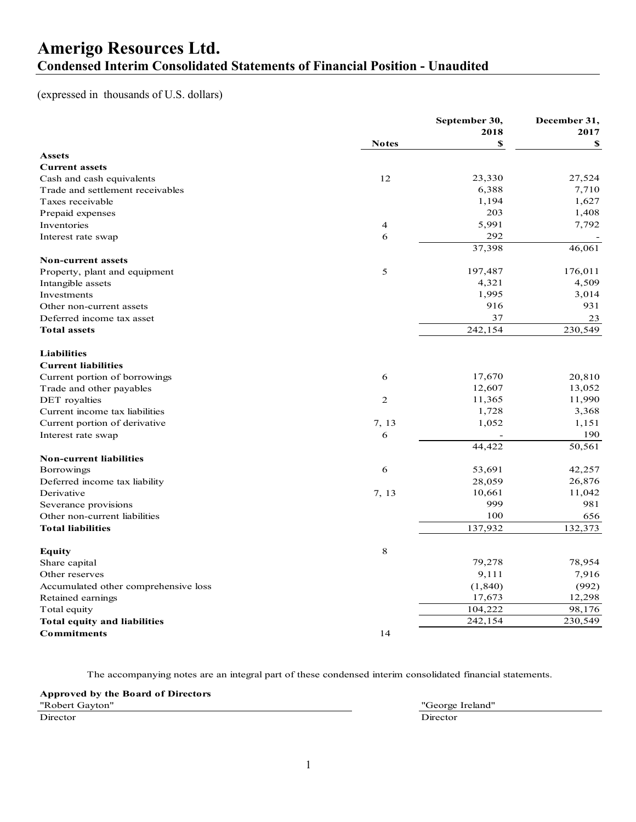## **Amerigo Resources Ltd. Condensed Interim Consolidated Statements of Financial Position - Unaudited**

### (expressed in thousands of U.S. dollars)

| 2018<br>2017<br>\$<br><b>Notes</b><br>\$<br><b>Assets</b><br><b>Current assets</b><br>12<br>23,330<br>27,524<br>Cash and cash equivalents<br>6,388<br>7,710<br>Trade and settlement receivables<br>1,194<br>1,627<br>Taxes receivable<br>203<br>1,408<br>Prepaid expenses<br>5,991<br>7,792<br>Inventories<br>4<br>292<br>6<br>Interest rate swap<br>37,398<br>46,061<br><b>Non-current assets</b><br>176,011<br>5<br>197,487<br>Property, plant and equipment<br>4,509<br>Intangible assets<br>4,321<br>1,995<br>3,014<br>Investments<br>931<br>916<br>Other non-current assets<br>37<br>Deferred income tax asset<br>23<br>242,154<br>230,549<br><b>Total assets</b><br><b>Liabilities</b><br><b>Current liabilities</b><br>17,670<br>20,810<br>Current portion of borrowings<br>6<br>12,607<br>13,052<br>Trade and other payables<br>11,990<br>11,365<br>DET royalties<br>$\overline{c}$<br>1,728<br>3,368<br>Current income tax liabilities<br>1,052<br>7, 13<br>1,151<br>Current portion of derivative<br>190<br>Interest rate swap<br>6<br>50,561<br>44,422<br><b>Non-current liabilities</b><br>6<br>53,691<br>42,257<br><b>Borrowings</b><br>26,876<br>Deferred income tax liability<br>28,059<br>11,042<br>10,661<br>Derivative<br>7, 13<br>999<br>981<br>Severance provisions<br>100<br>Other non-current liabilities<br>656<br>137,932<br>132,373<br><b>Total liabilities</b><br>8<br>Equity<br>79,278<br>78,954<br>Share capital<br>7,916<br>9,111<br>Other reserves<br>(992)<br>Accumulated other comprehensive loss<br>(1, 840)<br>17,673<br>12,298<br>Retained earnings<br>104,222<br>98,176<br>Total equity<br>242,154<br>230,549<br><b>Total equity and liabilities</b><br><b>Commitments</b><br>14 |  | September 30, | December 31, |
|----------------------------------------------------------------------------------------------------------------------------------------------------------------------------------------------------------------------------------------------------------------------------------------------------------------------------------------------------------------------------------------------------------------------------------------------------------------------------------------------------------------------------------------------------------------------------------------------------------------------------------------------------------------------------------------------------------------------------------------------------------------------------------------------------------------------------------------------------------------------------------------------------------------------------------------------------------------------------------------------------------------------------------------------------------------------------------------------------------------------------------------------------------------------------------------------------------------------------------------------------------------------------------------------------------------------------------------------------------------------------------------------------------------------------------------------------------------------------------------------------------------------------------------------------------------------------------------------------------------------------------------------------------------------------------------------------------------------|--|---------------|--------------|
|                                                                                                                                                                                                                                                                                                                                                                                                                                                                                                                                                                                                                                                                                                                                                                                                                                                                                                                                                                                                                                                                                                                                                                                                                                                                                                                                                                                                                                                                                                                                                                                                                                                                                                                      |  |               |              |
|                                                                                                                                                                                                                                                                                                                                                                                                                                                                                                                                                                                                                                                                                                                                                                                                                                                                                                                                                                                                                                                                                                                                                                                                                                                                                                                                                                                                                                                                                                                                                                                                                                                                                                                      |  |               |              |
|                                                                                                                                                                                                                                                                                                                                                                                                                                                                                                                                                                                                                                                                                                                                                                                                                                                                                                                                                                                                                                                                                                                                                                                                                                                                                                                                                                                                                                                                                                                                                                                                                                                                                                                      |  |               |              |
|                                                                                                                                                                                                                                                                                                                                                                                                                                                                                                                                                                                                                                                                                                                                                                                                                                                                                                                                                                                                                                                                                                                                                                                                                                                                                                                                                                                                                                                                                                                                                                                                                                                                                                                      |  |               |              |
|                                                                                                                                                                                                                                                                                                                                                                                                                                                                                                                                                                                                                                                                                                                                                                                                                                                                                                                                                                                                                                                                                                                                                                                                                                                                                                                                                                                                                                                                                                                                                                                                                                                                                                                      |  |               |              |
|                                                                                                                                                                                                                                                                                                                                                                                                                                                                                                                                                                                                                                                                                                                                                                                                                                                                                                                                                                                                                                                                                                                                                                                                                                                                                                                                                                                                                                                                                                                                                                                                                                                                                                                      |  |               |              |
|                                                                                                                                                                                                                                                                                                                                                                                                                                                                                                                                                                                                                                                                                                                                                                                                                                                                                                                                                                                                                                                                                                                                                                                                                                                                                                                                                                                                                                                                                                                                                                                                                                                                                                                      |  |               |              |
|                                                                                                                                                                                                                                                                                                                                                                                                                                                                                                                                                                                                                                                                                                                                                                                                                                                                                                                                                                                                                                                                                                                                                                                                                                                                                                                                                                                                                                                                                                                                                                                                                                                                                                                      |  |               |              |
|                                                                                                                                                                                                                                                                                                                                                                                                                                                                                                                                                                                                                                                                                                                                                                                                                                                                                                                                                                                                                                                                                                                                                                                                                                                                                                                                                                                                                                                                                                                                                                                                                                                                                                                      |  |               |              |
|                                                                                                                                                                                                                                                                                                                                                                                                                                                                                                                                                                                                                                                                                                                                                                                                                                                                                                                                                                                                                                                                                                                                                                                                                                                                                                                                                                                                                                                                                                                                                                                                                                                                                                                      |  |               |              |
|                                                                                                                                                                                                                                                                                                                                                                                                                                                                                                                                                                                                                                                                                                                                                                                                                                                                                                                                                                                                                                                                                                                                                                                                                                                                                                                                                                                                                                                                                                                                                                                                                                                                                                                      |  |               |              |
|                                                                                                                                                                                                                                                                                                                                                                                                                                                                                                                                                                                                                                                                                                                                                                                                                                                                                                                                                                                                                                                                                                                                                                                                                                                                                                                                                                                                                                                                                                                                                                                                                                                                                                                      |  |               |              |
|                                                                                                                                                                                                                                                                                                                                                                                                                                                                                                                                                                                                                                                                                                                                                                                                                                                                                                                                                                                                                                                                                                                                                                                                                                                                                                                                                                                                                                                                                                                                                                                                                                                                                                                      |  |               |              |
|                                                                                                                                                                                                                                                                                                                                                                                                                                                                                                                                                                                                                                                                                                                                                                                                                                                                                                                                                                                                                                                                                                                                                                                                                                                                                                                                                                                                                                                                                                                                                                                                                                                                                                                      |  |               |              |
|                                                                                                                                                                                                                                                                                                                                                                                                                                                                                                                                                                                                                                                                                                                                                                                                                                                                                                                                                                                                                                                                                                                                                                                                                                                                                                                                                                                                                                                                                                                                                                                                                                                                                                                      |  |               |              |
|                                                                                                                                                                                                                                                                                                                                                                                                                                                                                                                                                                                                                                                                                                                                                                                                                                                                                                                                                                                                                                                                                                                                                                                                                                                                                                                                                                                                                                                                                                                                                                                                                                                                                                                      |  |               |              |
|                                                                                                                                                                                                                                                                                                                                                                                                                                                                                                                                                                                                                                                                                                                                                                                                                                                                                                                                                                                                                                                                                                                                                                                                                                                                                                                                                                                                                                                                                                                                                                                                                                                                                                                      |  |               |              |
|                                                                                                                                                                                                                                                                                                                                                                                                                                                                                                                                                                                                                                                                                                                                                                                                                                                                                                                                                                                                                                                                                                                                                                                                                                                                                                                                                                                                                                                                                                                                                                                                                                                                                                                      |  |               |              |
|                                                                                                                                                                                                                                                                                                                                                                                                                                                                                                                                                                                                                                                                                                                                                                                                                                                                                                                                                                                                                                                                                                                                                                                                                                                                                                                                                                                                                                                                                                                                                                                                                                                                                                                      |  |               |              |
|                                                                                                                                                                                                                                                                                                                                                                                                                                                                                                                                                                                                                                                                                                                                                                                                                                                                                                                                                                                                                                                                                                                                                                                                                                                                                                                                                                                                                                                                                                                                                                                                                                                                                                                      |  |               |              |
|                                                                                                                                                                                                                                                                                                                                                                                                                                                                                                                                                                                                                                                                                                                                                                                                                                                                                                                                                                                                                                                                                                                                                                                                                                                                                                                                                                                                                                                                                                                                                                                                                                                                                                                      |  |               |              |
|                                                                                                                                                                                                                                                                                                                                                                                                                                                                                                                                                                                                                                                                                                                                                                                                                                                                                                                                                                                                                                                                                                                                                                                                                                                                                                                                                                                                                                                                                                                                                                                                                                                                                                                      |  |               |              |
|                                                                                                                                                                                                                                                                                                                                                                                                                                                                                                                                                                                                                                                                                                                                                                                                                                                                                                                                                                                                                                                                                                                                                                                                                                                                                                                                                                                                                                                                                                                                                                                                                                                                                                                      |  |               |              |
|                                                                                                                                                                                                                                                                                                                                                                                                                                                                                                                                                                                                                                                                                                                                                                                                                                                                                                                                                                                                                                                                                                                                                                                                                                                                                                                                                                                                                                                                                                                                                                                                                                                                                                                      |  |               |              |
|                                                                                                                                                                                                                                                                                                                                                                                                                                                                                                                                                                                                                                                                                                                                                                                                                                                                                                                                                                                                                                                                                                                                                                                                                                                                                                                                                                                                                                                                                                                                                                                                                                                                                                                      |  |               |              |
|                                                                                                                                                                                                                                                                                                                                                                                                                                                                                                                                                                                                                                                                                                                                                                                                                                                                                                                                                                                                                                                                                                                                                                                                                                                                                                                                                                                                                                                                                                                                                                                                                                                                                                                      |  |               |              |
|                                                                                                                                                                                                                                                                                                                                                                                                                                                                                                                                                                                                                                                                                                                                                                                                                                                                                                                                                                                                                                                                                                                                                                                                                                                                                                                                                                                                                                                                                                                                                                                                                                                                                                                      |  |               |              |
|                                                                                                                                                                                                                                                                                                                                                                                                                                                                                                                                                                                                                                                                                                                                                                                                                                                                                                                                                                                                                                                                                                                                                                                                                                                                                                                                                                                                                                                                                                                                                                                                                                                                                                                      |  |               |              |
|                                                                                                                                                                                                                                                                                                                                                                                                                                                                                                                                                                                                                                                                                                                                                                                                                                                                                                                                                                                                                                                                                                                                                                                                                                                                                                                                                                                                                                                                                                                                                                                                                                                                                                                      |  |               |              |
|                                                                                                                                                                                                                                                                                                                                                                                                                                                                                                                                                                                                                                                                                                                                                                                                                                                                                                                                                                                                                                                                                                                                                                                                                                                                                                                                                                                                                                                                                                                                                                                                                                                                                                                      |  |               |              |
|                                                                                                                                                                                                                                                                                                                                                                                                                                                                                                                                                                                                                                                                                                                                                                                                                                                                                                                                                                                                                                                                                                                                                                                                                                                                                                                                                                                                                                                                                                                                                                                                                                                                                                                      |  |               |              |
|                                                                                                                                                                                                                                                                                                                                                                                                                                                                                                                                                                                                                                                                                                                                                                                                                                                                                                                                                                                                                                                                                                                                                                                                                                                                                                                                                                                                                                                                                                                                                                                                                                                                                                                      |  |               |              |
|                                                                                                                                                                                                                                                                                                                                                                                                                                                                                                                                                                                                                                                                                                                                                                                                                                                                                                                                                                                                                                                                                                                                                                                                                                                                                                                                                                                                                                                                                                                                                                                                                                                                                                                      |  |               |              |
|                                                                                                                                                                                                                                                                                                                                                                                                                                                                                                                                                                                                                                                                                                                                                                                                                                                                                                                                                                                                                                                                                                                                                                                                                                                                                                                                                                                                                                                                                                                                                                                                                                                                                                                      |  |               |              |
|                                                                                                                                                                                                                                                                                                                                                                                                                                                                                                                                                                                                                                                                                                                                                                                                                                                                                                                                                                                                                                                                                                                                                                                                                                                                                                                                                                                                                                                                                                                                                                                                                                                                                                                      |  |               |              |
|                                                                                                                                                                                                                                                                                                                                                                                                                                                                                                                                                                                                                                                                                                                                                                                                                                                                                                                                                                                                                                                                                                                                                                                                                                                                                                                                                                                                                                                                                                                                                                                                                                                                                                                      |  |               |              |
|                                                                                                                                                                                                                                                                                                                                                                                                                                                                                                                                                                                                                                                                                                                                                                                                                                                                                                                                                                                                                                                                                                                                                                                                                                                                                                                                                                                                                                                                                                                                                                                                                                                                                                                      |  |               |              |
|                                                                                                                                                                                                                                                                                                                                                                                                                                                                                                                                                                                                                                                                                                                                                                                                                                                                                                                                                                                                                                                                                                                                                                                                                                                                                                                                                                                                                                                                                                                                                                                                                                                                                                                      |  |               |              |
|                                                                                                                                                                                                                                                                                                                                                                                                                                                                                                                                                                                                                                                                                                                                                                                                                                                                                                                                                                                                                                                                                                                                                                                                                                                                                                                                                                                                                                                                                                                                                                                                                                                                                                                      |  |               |              |
|                                                                                                                                                                                                                                                                                                                                                                                                                                                                                                                                                                                                                                                                                                                                                                                                                                                                                                                                                                                                                                                                                                                                                                                                                                                                                                                                                                                                                                                                                                                                                                                                                                                                                                                      |  |               |              |
|                                                                                                                                                                                                                                                                                                                                                                                                                                                                                                                                                                                                                                                                                                                                                                                                                                                                                                                                                                                                                                                                                                                                                                                                                                                                                                                                                                                                                                                                                                                                                                                                                                                                                                                      |  |               |              |
|                                                                                                                                                                                                                                                                                                                                                                                                                                                                                                                                                                                                                                                                                                                                                                                                                                                                                                                                                                                                                                                                                                                                                                                                                                                                                                                                                                                                                                                                                                                                                                                                                                                                                                                      |  |               |              |
|                                                                                                                                                                                                                                                                                                                                                                                                                                                                                                                                                                                                                                                                                                                                                                                                                                                                                                                                                                                                                                                                                                                                                                                                                                                                                                                                                                                                                                                                                                                                                                                                                                                                                                                      |  |               |              |

The accompanying notes are an integral part of these condensed interim consolidated financial statements.

**Approved by the Board of Directors**

"George Ireland" Director Director **Director Director Director Director Director Director Director Director Director Director Director Director Director Director Director Director Director Director Direc**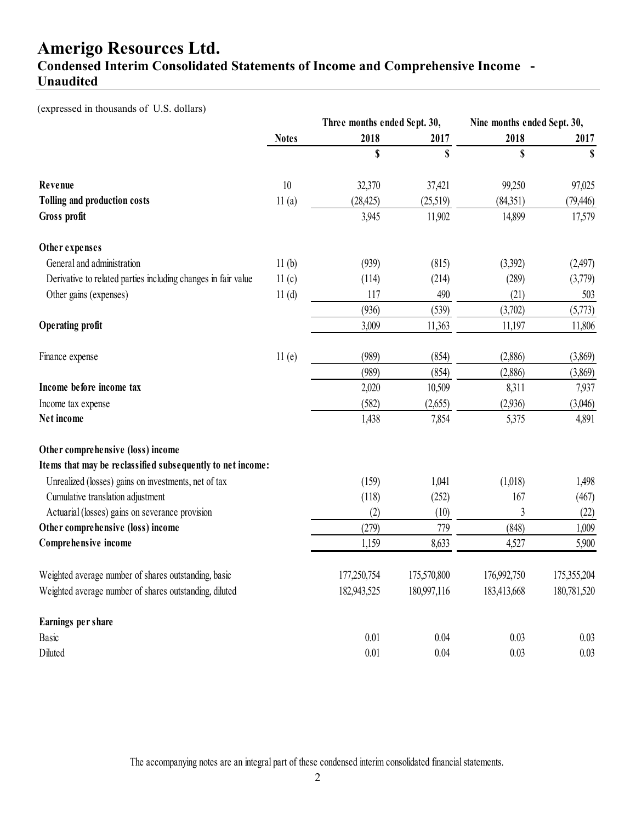### **Condensed Interim Consolidated Statements of Income and Comprehensive Income - Unaudited**

(expressed in thousands of U.S. dollars)

|                                                               |              | Three months ended Sept. 30, |             | Nine months ended Sept. 30, |             |
|---------------------------------------------------------------|--------------|------------------------------|-------------|-----------------------------|-------------|
|                                                               | <b>Notes</b> | 2018                         | 2017        | 2018                        | 2017        |
|                                                               |              | \$                           | \$          | \$                          | \$          |
| Revenue                                                       | 10           | 32,370                       | 37,421      | 99,250                      | 97,025      |
| Tolling and production costs                                  | 11(a)        | (28, 425)                    | (25,519)    | (84,351)                    | (79, 446)   |
| Gross profit                                                  |              | 3,945                        | 11,902      | 14,899                      | 17,579      |
| Other expenses                                                |              |                              |             |                             |             |
| General and administration                                    | 11(b)        | (939)                        | (815)       | (3,392)                     | (2,497)     |
| Derivative to related parties including changes in fair value | 11(c)        | (114)                        | (214)       | (289)                       | (3,779)     |
| Other gains (expenses)                                        | 11(d)        | 117                          | 490         | (21)                        | 503         |
|                                                               |              | (936)                        | (539)       | (3,702)                     | (5,773)     |
| <b>Operating profit</b>                                       |              | 3,009                        | 11,363      | 11,197                      | 11,806      |
| Finance expense                                               | 11(e)        | (989)                        | (854)       | (2,886)                     | (3,869)     |
|                                                               |              | (989)                        | (854)       | (2,886)                     | (3,869)     |
| Income before income tax                                      |              | 2,020                        | 10,509      | 8,311                       | 7,937       |
| Income tax expense                                            |              | (582)                        | (2,655)     | (2,936)                     | (3,046)     |
| Net income                                                    |              | 1,438                        | 7,854       | 5,375                       | 4,891       |
| Other comprehensive (loss) income                             |              |                              |             |                             |             |
| Items that may be reclassified subsequently to net income:    |              |                              |             |                             |             |
| Unrealized (losses) gains on investments, net of tax          |              | (159)                        | 1,041       | (1,018)                     | 1,498       |
| Cumulative translation adjustment                             |              | (118)                        | (252)       | 167                         | (467)       |
| Actuarial (losses) gains on severance provision               |              | (2)                          | (10)        | 3                           | (22)        |
| Other comprehensive (loss) income                             |              | (279)                        | 779         | (848)                       | 1,009       |
| Comprehensive income                                          |              | 1,159                        | 8,633       | 4,527                       | 5,900       |
| Weighted average number of shares outstanding, basic          |              | 177,250,754                  | 175,570,800 | 176,992,750                 | 175,355,204 |
| Weighted average number of shares outstanding, diluted        |              | 182,943,525                  | 180,997,116 | 183,413,668                 | 180,781,520 |
| Earnings per share                                            |              |                              |             |                             |             |
| Basic                                                         |              | 0.01                         | 0.04        | 0.03                        | 0.03        |
| Diluted                                                       |              | 0.01                         | 0.04        | 0.03                        | 0.03        |

The accompanying notes are an integral part of these condensed interim consolidated financial statements.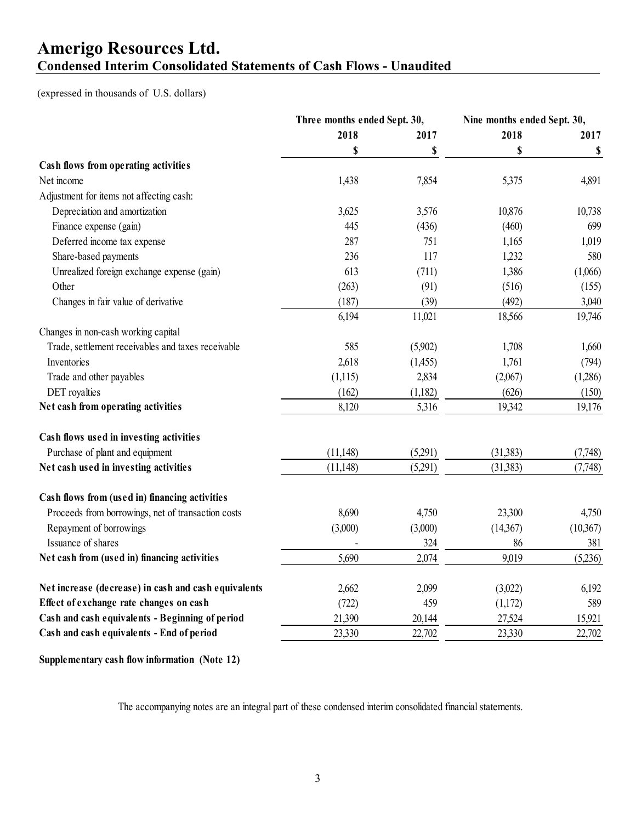## **Amerigo Resources Ltd. Condensed Interim Consolidated Statements of Cash Flows - Unaudited**

(expressed in thousands of U.S. dollars)

|                                                      | Three months ended Sept. 30, |         | Nine months ended Sept. 30, |           |
|------------------------------------------------------|------------------------------|---------|-----------------------------|-----------|
|                                                      | 2018                         | 2017    | 2018                        | 2017      |
|                                                      | \$                           | \$      | \$                          | \$        |
| Cash flows from operating activities                 |                              |         |                             |           |
| Net income                                           | 1,438                        | 7,854   | 5,375                       | 4,891     |
| Adjustment for items not affecting cash:             |                              |         |                             |           |
| Depreciation and amortization                        | 3,625                        | 3,576   | 10,876                      | 10,738    |
| Finance expense (gain)                               | 445                          | (436)   | (460)                       | 699       |
| Deferred income tax expense                          | 287                          | 751     | 1,165                       | 1,019     |
| Share-based payments                                 | 236                          | 117     | 1,232                       | 580       |
| Unrealized foreign exchange expense (gain)           | 613                          | (711)   | 1,386                       | (1,066)   |
| Other                                                | (263)                        | (91)    | (516)                       | (155)     |
| Changes in fair value of derivative                  | (187)                        | (39)    | (492)                       | 3,040     |
|                                                      | 6,194                        | 11,021  | 18,566                      | 19,746    |
| Changes in non-cash working capital                  |                              |         |                             |           |
| Trade, settlement receivables and taxes receivable   | 585                          | (5,902) | 1,708                       | 1,660     |
| Inventories                                          | 2,618                        | (1,455) | 1,761                       | (794)     |
| Trade and other payables                             | (1,115)                      | 2,834   | (2,067)                     | (1,286)   |
| DET royalties                                        | (162)                        | (1,182) | (626)                       | (150)     |
| Net cash from operating activities                   | 8,120                        | 5,316   | 19,342                      | 19,176    |
| Cash flows used in investing activities              |                              |         |                             |           |
| Purchase of plant and equipment                      | (11, 148)                    | (5,291) | (31, 383)                   | (7,748)   |
| Net cash used in investing activities                | (11, 148)                    | (5,291) | (31, 383)                   | (7,748)   |
| Cash flows from (used in) financing activities       |                              |         |                             |           |
| Proceeds from borrowings, net of transaction costs   | 8,690                        | 4,750   | 23,300                      | 4,750     |
| Repayment of borrowings                              | (3,000)                      | (3,000) | (14,367)                    | (10, 367) |
| Issuance of shares                                   |                              | 324     | 86                          | 381       |
| Net cash from (used in) financing activities         | 5,690                        | 2,074   | 9,019                       | (5,236)   |
| Net increase (decrease) in cash and cash equivalents | 2,662                        | 2,099   | (3,022)                     | 6,192     |
| Effect of exchange rate changes on cash              | (722)                        | 459     | (1,172)                     | 589       |
| Cash and cash equivalents - Beginning of period      | 21,390                       | 20,144  | 27,524                      | 15,921    |
| Cash and cash equivalents - End of period            | 23,330                       | 22,702  | 23,330                      | 22,702    |
|                                                      |                              |         |                             |           |

**Supplementary cash flow information (Note 12)**

The accompanying notes are an integral part of these condensed interim consolidated financial statements.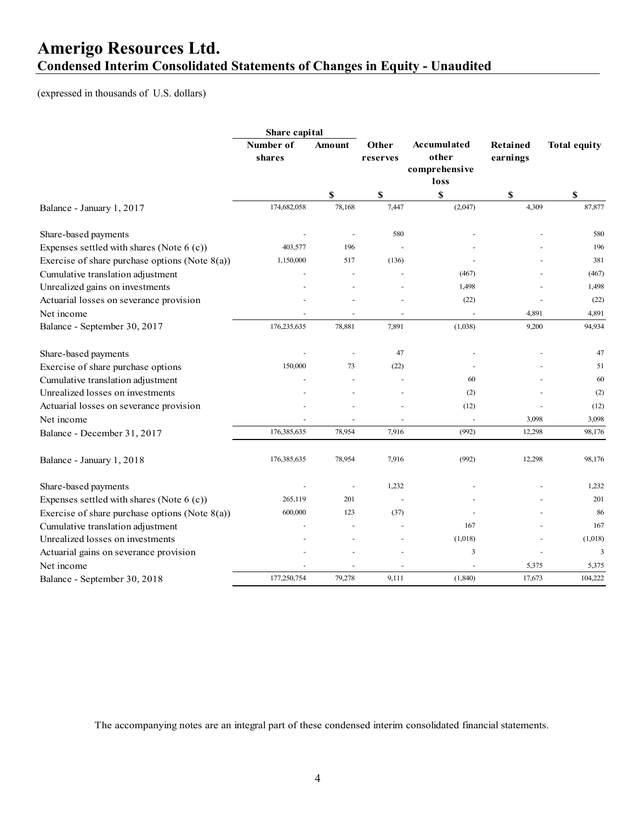## **Amerigo Resources Ltd. Condensed Interim Consolidated Statements of Changes in Equity - Unaudited**

(expressed in thousands of U.S. dollars)

|                                                   | Share capital       |        |                   |                             |                      |                           |
|---------------------------------------------------|---------------------|--------|-------------------|-----------------------------|----------------------|---------------------------|
|                                                   | Number of<br>shares | Amount | Other<br>reserves | <b>Accumulated</b><br>other | Retained<br>earnings | <b>Total equity</b>       |
|                                                   |                     |        |                   | comprehensive<br>loss       |                      |                           |
|                                                   |                     | \$     | \$                | \$                          | \$                   | $\boldsymbol{\mathsf{s}}$ |
| Balance - January 1, 2017                         | 174,682,058         | 78,168 | 7,447             | (2,047)                     | 4,309                | 87,877                    |
| Share-based payments                              |                     |        | 580               |                             |                      | 580                       |
| Expenses settled with shares (Note $6(c)$ )       | 403,577             | 196    |                   |                             |                      | 196                       |
| Exercise of share purchase options (Note $8(a)$ ) | 1,150,000           | 517    | (136)             |                             |                      | 381                       |
| Cumulative translation adjustment                 |                     |        |                   | (467)                       |                      | (467)                     |
| Unrealized gains on investments                   |                     |        |                   | 1,498                       |                      | 1,498                     |
| Actuarial losses on severance provision           |                     |        |                   | (22)                        |                      | (22)                      |
| Net income                                        |                     | ÷,     |                   |                             | 4,891                | 4,891                     |
| Balance - September 30, 2017                      | 176,235,635         | 78,881 | 7,891             | (1,038)                     | 9,200                | 94,934                    |
| Share-based payments                              |                     |        | 47                |                             |                      | 47                        |
| Exercise of share purchase options                | 150,000             | 73     | (22)              |                             |                      | 51                        |
| Cumulative translation adjustment                 |                     |        |                   | 60                          |                      | 60                        |
| Unrealized losses on investments                  |                     |        |                   | (2)                         |                      | (2)                       |
| Actuarial losses on severance provision           |                     |        |                   | (12)                        |                      | (12)                      |
| Net income                                        |                     |        |                   |                             | 3,098                | 3,098                     |
| Balance - December 31, 2017                       | 176,385,635         | 78,954 | 7,916             | (992)                       | 12,298               | 98,176                    |
| Balance - January 1, 2018                         | 176,385,635         | 78,954 | 7,916             | (992)                       | 12,298               | 98,176                    |
| Share-based payments                              |                     |        | 1,232             |                             |                      | 1,232                     |
| Expenses settled with shares (Note $6(c)$ )       | 265,119             | 201    |                   |                             |                      | 201                       |
| Exercise of share purchase options (Note $8(a)$ ) | 600,000             | 123    | (37)              |                             |                      | 86                        |
| Cumulative translation adjustment                 |                     |        |                   | 167                         |                      | 167                       |
| Unrealized losses on investments                  |                     |        |                   | (1,018)                     |                      | (1,018)                   |
| Actuarial gains on severance provision            |                     |        |                   | 3                           |                      | 3                         |
| Net income                                        |                     |        |                   |                             | 5,375                | 5,375                     |
| Balance - September 30, 2018                      | 177,250,754         | 79,278 | 9,111             | (1, 840)                    | 17,673               | 104,222                   |

The accompanying notes are an integral part of these condensed interim consolidated financial statements.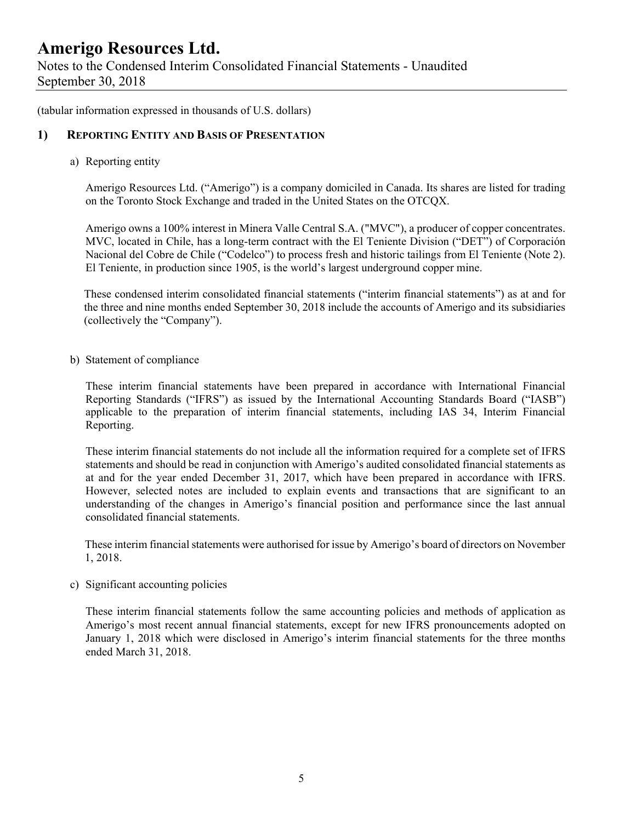Notes to the Condensed Interim Consolidated Financial Statements - Unaudited September 30, 2018

(tabular information expressed in thousands of U.S. dollars)

### **1) REPORTING ENTITY AND BASIS OF PRESENTATION**

a) Reporting entity

Amerigo Resources Ltd. ("Amerigo") is a company domiciled in Canada. Its shares are listed for trading on the Toronto Stock Exchange and traded in the United States on the OTCQX.

Amerigo owns a 100% interest in Minera Valle Central S.A. ("MVC"), a producer of copper concentrates. MVC, located in Chile, has a long-term contract with the El Teniente Division ("DET") of Corporación Nacional del Cobre de Chile ("Codelco") to process fresh and historic tailings from El Teniente (Note 2). El Teniente, in production since 1905, is the world's largest underground copper mine.

These condensed interim consolidated financial statements ("interim financial statements") as at and for the three and nine months ended September 30, 2018 include the accounts of Amerigo and its subsidiaries (collectively the "Company").

b) Statement of compliance

These interim financial statements have been prepared in accordance with International Financial Reporting Standards ("IFRS") as issued by the International Accounting Standards Board ("IASB") applicable to the preparation of interim financial statements, including IAS 34, Interim Financial Reporting.

These interim financial statements do not include all the information required for a complete set of IFRS statements and should be read in conjunction with Amerigo's audited consolidated financial statements as at and for the year ended December 31, 2017, which have been prepared in accordance with IFRS. However, selected notes are included to explain events and transactions that are significant to an understanding of the changes in Amerigo's financial position and performance since the last annual consolidated financial statements.

 These interim financial statements were authorised for issue by Amerigo's board of directors on November 1, 2018.

c) Significant accounting policies

These interim financial statements follow the same accounting policies and methods of application as Amerigo's most recent annual financial statements, except for new IFRS pronouncements adopted on January 1, 2018 which were disclosed in Amerigo's interim financial statements for the three months ended March 31, 2018.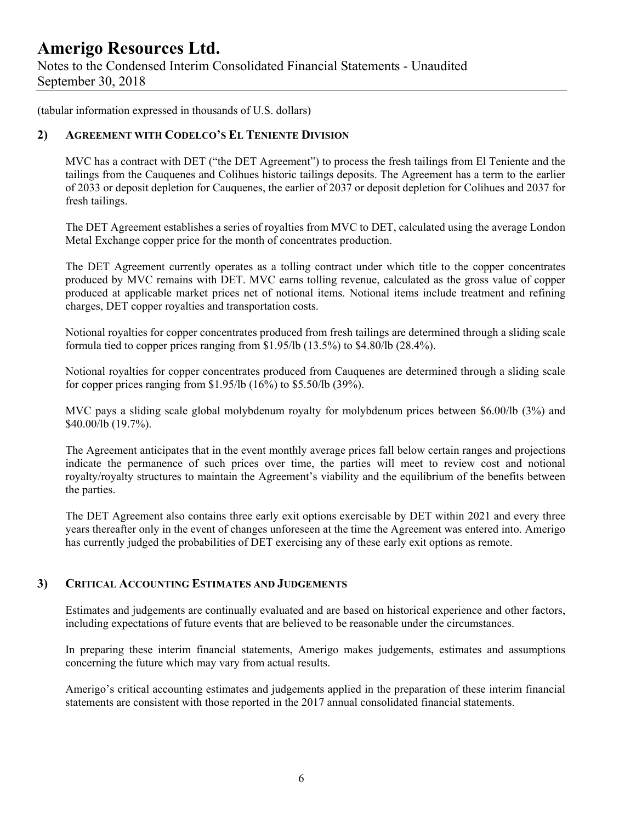Notes to the Condensed Interim Consolidated Financial Statements - Unaudited September 30, 2018

(tabular information expressed in thousands of U.S. dollars)

### **2) AGREEMENT WITH CODELCO'S EL TENIENTE DIVISION**

MVC has a contract with DET ("the DET Agreement") to process the fresh tailings from El Teniente and the tailings from the Cauquenes and Colihues historic tailings deposits. The Agreement has a term to the earlier of 2033 or deposit depletion for Cauquenes, the earlier of 2037 or deposit depletion for Colihues and 2037 for fresh tailings.

The DET Agreement establishes a series of royalties from MVC to DET, calculated using the average London Metal Exchange copper price for the month of concentrates production.

The DET Agreement currently operates as a tolling contract under which title to the copper concentrates produced by MVC remains with DET. MVC earns tolling revenue, calculated as the gross value of copper produced at applicable market prices net of notional items. Notional items include treatment and refining charges, DET copper royalties and transportation costs.

Notional royalties for copper concentrates produced from fresh tailings are determined through a sliding scale formula tied to copper prices ranging from \$1.95/lb (13.5%) to \$4.80/lb (28.4%).

Notional royalties for copper concentrates produced from Cauquenes are determined through a sliding scale for copper prices ranging from \$1.95/lb (16%) to \$5.50/lb (39%).

MVC pays a sliding scale global molybdenum royalty for molybdenum prices between \$6.00/lb (3%) and \$40.00/lb (19.7%).

The Agreement anticipates that in the event monthly average prices fall below certain ranges and projections indicate the permanence of such prices over time, the parties will meet to review cost and notional royalty/royalty structures to maintain the Agreement's viability and the equilibrium of the benefits between the parties.

The DET Agreement also contains three early exit options exercisable by DET within 2021 and every three years thereafter only in the event of changes unforeseen at the time the Agreement was entered into. Amerigo has currently judged the probabilities of DET exercising any of these early exit options as remote.

#### **3) CRITICAL ACCOUNTING ESTIMATES AND JUDGEMENTS**

Estimates and judgements are continually evaluated and are based on historical experience and other factors, including expectations of future events that are believed to be reasonable under the circumstances.

In preparing these interim financial statements, Amerigo makes judgements, estimates and assumptions concerning the future which may vary from actual results.

Amerigo's critical accounting estimates and judgements applied in the preparation of these interim financial statements are consistent with those reported in the 2017 annual consolidated financial statements.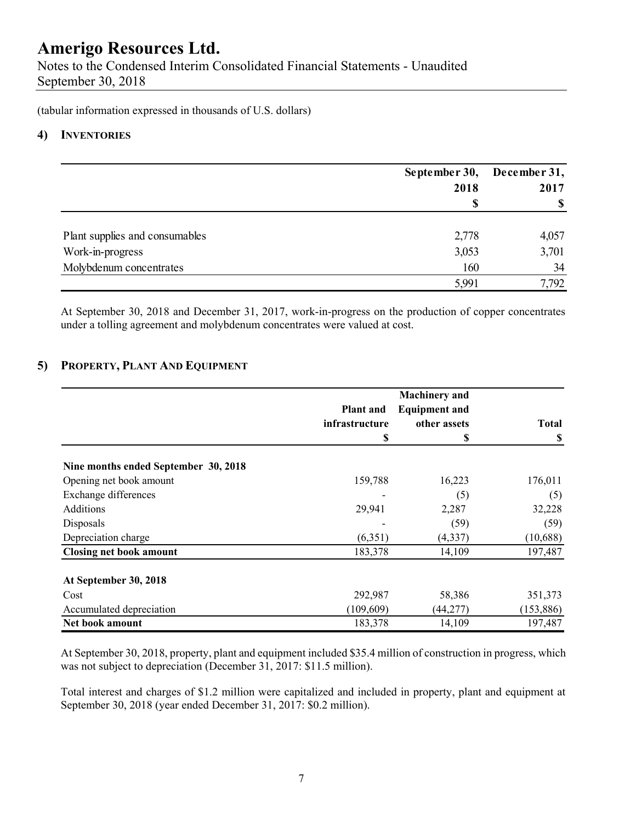Notes to the Condensed Interim Consolidated Financial Statements - Unaudited September 30, 2018

(tabular information expressed in thousands of U.S. dollars)

### **4) INVENTORIES**

|                                | September 30, December 31, |                           |
|--------------------------------|----------------------------|---------------------------|
|                                | 2018                       | 2017                      |
|                                | S                          | $\boldsymbol{\mathsf{S}}$ |
| Plant supplies and consumables | 2,778                      | 4,057                     |
| Work-in-progress               | 3,053                      | 3,701                     |
| Molybdenum concentrates        | 160                        | 34                        |
|                                | 5,991                      | 7,792                     |

At September 30, 2018 and December 31, 2017, work-in-progress on the production of copper concentrates under a tolling agreement and molybdenum concentrates were valued at cost.

### **5) PROPERTY, PLANT AND EQUIPMENT**

|                                      |                  | <b>Machinery</b> and |              |
|--------------------------------------|------------------|----------------------|--------------|
|                                      | <b>Plant</b> and | <b>Equipment and</b> |              |
|                                      | infrastructure   | other assets         | <b>Total</b> |
|                                      | \$               | \$                   | S            |
| Nine months ended September 30, 2018 |                  |                      |              |
| Opening net book amount              | 159,788          | 16,223               | 176,011      |
| Exchange differences                 |                  | (5)                  | (5)          |
| Additions                            | 29,941           | 2,287                | 32,228       |
| Disposals                            |                  | (59)                 | (59)         |
| Depreciation charge                  | (6,351)          | (4, 337)             | (10,688)     |
| <b>Closing net book amount</b>       | 183,378          | 14,109               | 197,487      |
| At September 30, 2018                |                  |                      |              |
| Cost                                 | 292,987          | 58,386               | 351,373      |
| Accumulated depreciation             | (109, 609)       | (44, 277)            | (153,886)    |
| Net book amount                      | 183,378          | 14,109               | 197,487      |

 At September 30, 2018, property, plant and equipment included \$35.4 million of construction in progress, which was not subject to depreciation (December 31, 2017: \$11.5 million).

Total interest and charges of \$1.2 million were capitalized and included in property, plant and equipment at September 30, 2018 (year ended December 31, 2017: \$0.2 million).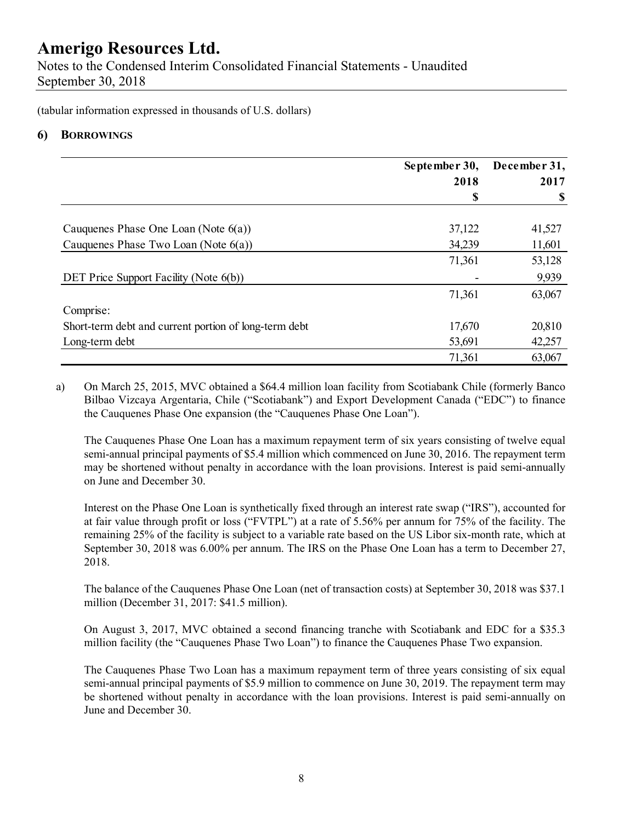Notes to the Condensed Interim Consolidated Financial Statements - Unaudited September 30, 2018

(tabular information expressed in thousands of U.S. dollars)

### **6) BORROWINGS**

|                                                       | September 30, | December 31, |
|-------------------------------------------------------|---------------|--------------|
|                                                       | 2018          | 2017         |
|                                                       | S             | \$           |
| Cauquenes Phase One Loan (Note $6(a)$ )               | 37,122        | 41,527       |
| Cauquenes Phase Two Loan (Note $6(a)$ )               | 34,239        | 11,601       |
|                                                       | 71,361        | 53,128       |
| DET Price Support Facility (Note 6(b))                |               | 9,939        |
|                                                       | 71,361        | 63,067       |
| Comprise:                                             |               |              |
| Short-term debt and current portion of long-term debt | 17,670        | 20,810       |
| Long-term debt                                        | 53,691        | 42,257       |
|                                                       | 71,361        | 63,067       |

a) On March 25, 2015, MVC obtained a \$64.4 million loan facility from Scotiabank Chile (formerly Banco Bilbao Vizcaya Argentaria, Chile ("Scotiabank") and Export Development Canada ("EDC") to finance the Cauquenes Phase One expansion (the "Cauquenes Phase One Loan").

The Cauquenes Phase One Loan has a maximum repayment term of six years consisting of twelve equal semi-annual principal payments of \$5.4 million which commenced on June 30, 2016. The repayment term may be shortened without penalty in accordance with the loan provisions. Interest is paid semi-annually on June and December 30.

Interest on the Phase One Loan is synthetically fixed through an interest rate swap ("IRS"), accounted for at fair value through profit or loss ("FVTPL") at a rate of 5.56% per annum for 75% of the facility. The remaining 25% of the facility is subject to a variable rate based on the US Libor six-month rate, which at September 30, 2018 was 6.00% per annum. The IRS on the Phase One Loan has a term to December 27, 2018.

The balance of the Cauquenes Phase One Loan (net of transaction costs) at September 30, 2018 was \$37.1 million (December 31, 2017: \$41.5 million).

On August 3, 2017, MVC obtained a second financing tranche with Scotiabank and EDC for a \$35.3 million facility (the "Cauquenes Phase Two Loan") to finance the Cauquenes Phase Two expansion.

 The Cauquenes Phase Two Loan has a maximum repayment term of three years consisting of six equal semi-annual principal payments of \$5.9 million to commence on June 30, 2019. The repayment term may be shortened without penalty in accordance with the loan provisions. Interest is paid semi-annually on June and December 30.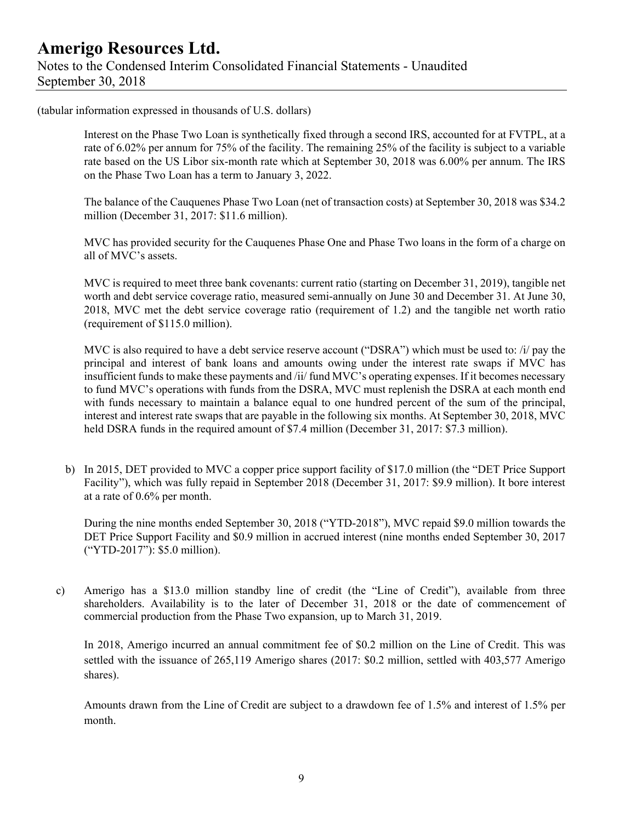### **Amerigo Resources Ltd.**  Notes to the Condensed Interim Consolidated Financial Statements - Unaudited September 30, 2018

(tabular information expressed in thousands of U.S. dollars)

 Interest on the Phase Two Loan is synthetically fixed through a second IRS, accounted for at FVTPL, at a rate of 6.02% per annum for 75% of the facility. The remaining 25% of the facility is subject to a variable rate based on the US Libor six-month rate which at September 30, 2018 was 6.00% per annum. The IRS on the Phase Two Loan has a term to January 3, 2022.

The balance of the Cauquenes Phase Two Loan (net of transaction costs) at September 30, 2018 was \$34.2 million (December 31, 2017: \$11.6 million).

 MVC has provided security for the Cauquenes Phase One and Phase Two loans in the form of a charge on all of MVC's assets.

MVC is required to meet three bank covenants: current ratio (starting on December 31, 2019), tangible net worth and debt service coverage ratio, measured semi-annually on June 30 and December 31. At June 30, 2018, MVC met the debt service coverage ratio (requirement of 1.2) and the tangible net worth ratio (requirement of \$115.0 million).

MVC is also required to have a debt service reserve account ("DSRA") which must be used to: /i/ pay the principal and interest of bank loans and amounts owing under the interest rate swaps if MVC has insufficient funds to make these payments and /ii/ fund MVC's operating expenses. If it becomes necessary to fund MVC's operations with funds from the DSRA, MVC must replenish the DSRA at each month end with funds necessary to maintain a balance equal to one hundred percent of the sum of the principal, interest and interest rate swaps that are payable in the following six months. At September 30, 2018, MVC held DSRA funds in the required amount of \$7.4 million (December 31, 2017: \$7.3 million).

b) In 2015, DET provided to MVC a copper price support facility of \$17.0 million (the "DET Price Support Facility"), which was fully repaid in September 2018 (December 31, 2017: \$9.9 million). It bore interest at a rate of 0.6% per month.

During the nine months ended September 30, 2018 ("YTD-2018"), MVC repaid \$9.0 million towards the DET Price Support Facility and \$0.9 million in accrued interest (nine months ended September 30, 2017 ("YTD-2017"): \$5.0 million).

c) Amerigo has a \$13.0 million standby line of credit (the "Line of Credit"), available from three shareholders. Availability is to the later of December 31, 2018 or the date of commencement of commercial production from the Phase Two expansion, up to March 31, 2019.

In 2018, Amerigo incurred an annual commitment fee of \$0.2 million on the Line of Credit. This was settled with the issuance of 265,119 Amerigo shares (2017: \$0.2 million, settled with 403,577 Amerigo shares).

Amounts drawn from the Line of Credit are subject to a drawdown fee of 1.5% and interest of 1.5% per month.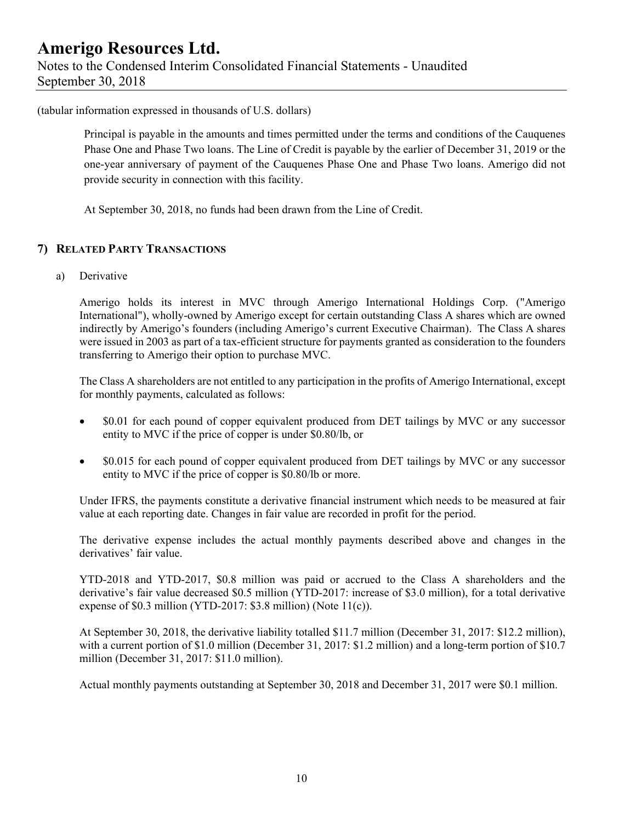### **Amerigo Resources Ltd.**  Notes to the Condensed Interim Consolidated Financial Statements - Unaudited September 30, 2018

(tabular information expressed in thousands of U.S. dollars)

Principal is payable in the amounts and times permitted under the terms and conditions of the Cauquenes Phase One and Phase Two loans. The Line of Credit is payable by the earlier of December 31, 2019 or the one-year anniversary of payment of the Cauquenes Phase One and Phase Two loans. Amerigo did not provide security in connection with this facility.

At September 30, 2018, no funds had been drawn from the Line of Credit.

### **7) RELATED PARTY TRANSACTIONS**

a) Derivative

Amerigo holds its interest in MVC through Amerigo International Holdings Corp. ("Amerigo International"), wholly-owned by Amerigo except for certain outstanding Class A shares which are owned indirectly by Amerigo's founders (including Amerigo's current Executive Chairman). The Class A shares were issued in 2003 as part of a tax-efficient structure for payments granted as consideration to the founders transferring to Amerigo their option to purchase MVC.

The Class A shareholders are not entitled to any participation in the profits of Amerigo International, except for monthly payments, calculated as follows:

- \$0.01 for each pound of copper equivalent produced from DET tailings by MVC or any successor entity to MVC if the price of copper is under \$0.80/lb, or
- \$0.015 for each pound of copper equivalent produced from DET tailings by MVC or any successor entity to MVC if the price of copper is \$0.80/lb or more.

Under IFRS, the payments constitute a derivative financial instrument which needs to be measured at fair value at each reporting date. Changes in fair value are recorded in profit for the period.

The derivative expense includes the actual monthly payments described above and changes in the derivatives' fair value.

YTD-2018 and YTD-2017, \$0.8 million was paid or accrued to the Class A shareholders and the derivative's fair value decreased \$0.5 million (YTD-2017: increase of \$3.0 million), for a total derivative expense of \$0.3 million (YTD-2017: \$3.8 million) (Note 11(c)).

At September 30, 2018, the derivative liability totalled \$11.7 million (December 31, 2017: \$12.2 million), with a current portion of \$1.0 million (December 31, 2017: \$1.2 million) and a long-term portion of \$10.7 million (December 31, 2017: \$11.0 million).

Actual monthly payments outstanding at September 30, 2018 and December 31, 2017 were \$0.1 million.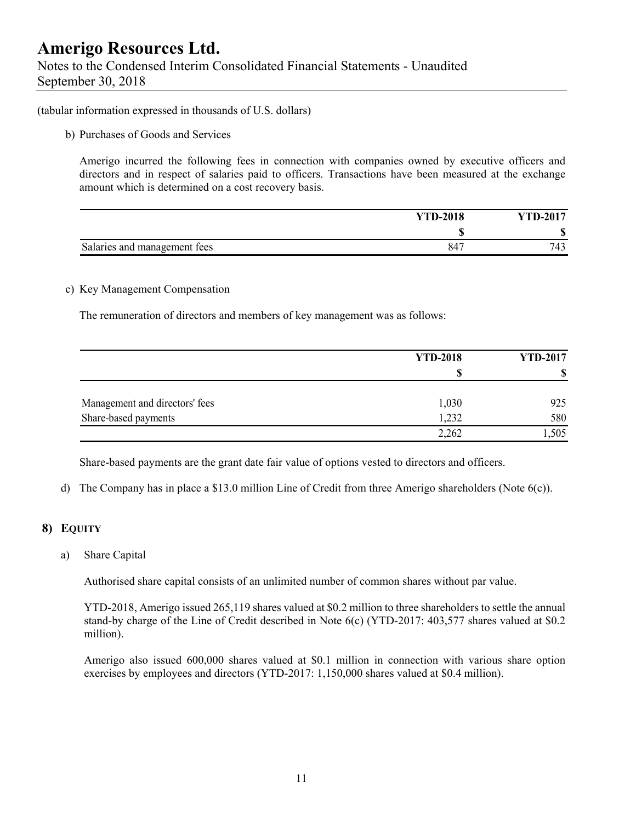Notes to the Condensed Interim Consolidated Financial Statements - Unaudited September 30, 2018

(tabular information expressed in thousands of U.S. dollars)

b) Purchases of Goods and Services

Amerigo incurred the following fees in connection with companies owned by executive officers and directors and in respect of salaries paid to officers. Transactions have been measured at the exchange amount which is determined on a cost recovery basis.

|                              | <b>YTD-2018</b> | <b>YTD-2017</b> |
|------------------------------|-----------------|-----------------|
|                              | мB              | Ф.<br>۱D        |
| Salaries and management fees | 847             | 743             |

#### c) Key Management Compensation

The remuneration of directors and members of key management was as follows:

|                                | <b>YTD-2018</b> | <b>YTD-2017</b> |
|--------------------------------|-----------------|-----------------|
|                                | S               | S               |
| Management and directors' fees | 1,030           | 925             |
| Share-based payments           | 1,232           | 580             |
|                                | 2,262           | 1,505           |

Share-based payments are the grant date fair value of options vested to directors and officers.

d) The Company has in place a \$13.0 million Line of Credit from three Amerigo shareholders (Note 6(c)).

### **8) EQUITY**

a) Share Capital

Authorised share capital consists of an unlimited number of common shares without par value.

YTD-2018, Amerigo issued 265,119 shares valued at \$0.2 million to three shareholders to settle the annual stand-by charge of the Line of Credit described in Note 6(c) (YTD-2017: 403,577 shares valued at \$0.2 million).

Amerigo also issued 600,000 shares valued at \$0.1 million in connection with various share option exercises by employees and directors (YTD-2017: 1,150,000 shares valued at \$0.4 million).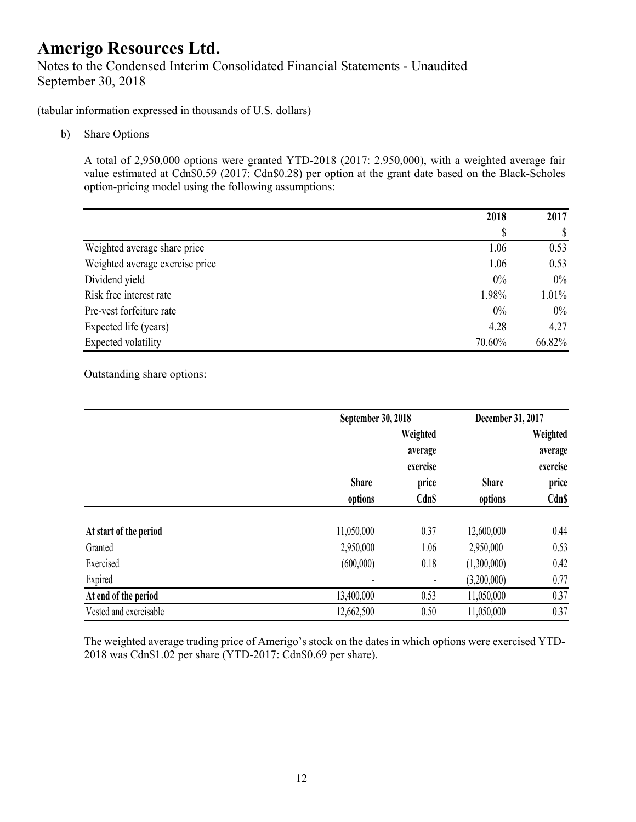Notes to the Condensed Interim Consolidated Financial Statements - Unaudited September 30, 2018

(tabular information expressed in thousands of U.S. dollars)

b) Share Options

A total of 2,950,000 options were granted YTD-2018 (2017: 2,950,000), with a weighted average fair value estimated at Cdn\$0.59 (2017: Cdn\$0.28) per option at the grant date based on the Black-Scholes option-pricing model using the following assumptions:

|                                 | 2018   | 2017   |
|---------------------------------|--------|--------|
|                                 | \$     | \$     |
| Weighted average share price    | 1.06   | 0.53   |
| Weighted average exercise price | 1.06   | 0.53   |
| Dividend yield                  | $0\%$  | $0\%$  |
| Risk free interest rate         | 1.98%  | 1.01%  |
| Pre-vest forfeiture rate        | 0%     | $0\%$  |
| Expected life (years)           | 4.28   | 4.27   |
| Expected volatility             | 70.60% | 66.82% |

Outstanding share options:

|                        | September 30, 2018 |                                 | December 31, 2017 |                                 |  |
|------------------------|--------------------|---------------------------------|-------------------|---------------------------------|--|
|                        |                    | Weighted<br>average<br>exercise |                   | Weighted<br>average<br>exercise |  |
|                        | <b>Share</b>       | price                           | <b>Share</b>      | price                           |  |
|                        | options            | <b>Cdn\$</b>                    | options           | <b>Cdn\$</b>                    |  |
| At start of the period | 11,050,000         | 0.37                            | 12,600,000        | 0.44                            |  |
| Granted                | 2,950,000          | 1.06                            | 2,950,000         | 0.53                            |  |
| Exercised              | (600,000)          | 0.18                            | (1,300,000)       | 0.42                            |  |
| Expired                |                    |                                 | (3,200,000)       | 0.77                            |  |
| At end of the period   | 13,400,000         | 0.53                            | 11,050,000        | 0.37                            |  |
| Vested and exercisable | 12,662,500         | 0.50                            | 11,050,000        | 0.37                            |  |

The weighted average trading price of Amerigo's stock on the dates in which options were exercised YTD-2018 was Cdn\$1.02 per share (YTD-2017: Cdn\$0.69 per share).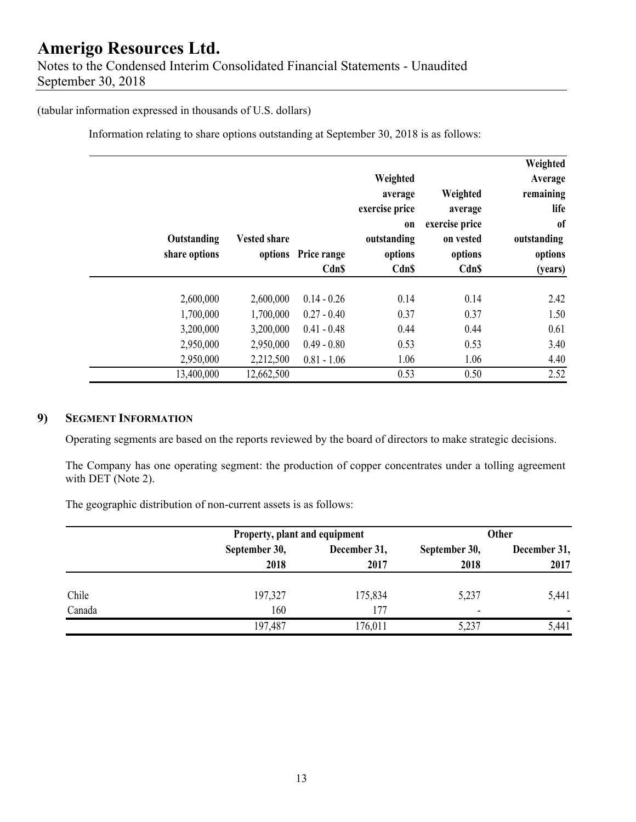## **Amerigo Resources Ltd.**  Notes to the Condensed Interim Consolidated Financial Statements - Unaudited September 30, 2018

### (tabular information expressed in thousands of U.S. dollars)

Information relating to share options outstanding at September 30, 2018 is as follows:

| Weighted<br>Average<br>remaining<br>life<br><sub>of</sub><br>outstanding<br>options<br>(years) | Weighted<br>average<br>exercise price<br>on vested<br>options<br><b>Cdn\$</b> | Weighted<br>average<br>exercise price<br><sub>on</sub><br>outstanding<br>options<br><b>CdnS</b> | Price range<br><b>CdnS</b> | <b>Vested share</b><br>options | Outstanding<br>share options |  |
|------------------------------------------------------------------------------------------------|-------------------------------------------------------------------------------|-------------------------------------------------------------------------------------------------|----------------------------|--------------------------------|------------------------------|--|
| 2.42                                                                                           | 0.14                                                                          | 0.14                                                                                            | $0.14 - 0.26$              | 2,600,000                      | 2,600,000                    |  |
| 1.50                                                                                           | 0.37                                                                          | 0.37                                                                                            | $0.27 - 0.40$              | 1,700,000                      | 1,700,000                    |  |
| 0.61                                                                                           | 0.44                                                                          | 0.44                                                                                            | $0.41 - 0.48$              | 3,200,000                      | 3,200,000                    |  |
| 3.40                                                                                           | 0.53                                                                          | 0.53                                                                                            | $0.49 - 0.80$              | 2,950,000                      | 2,950,000                    |  |
| 4.40                                                                                           | 1.06                                                                          | 1.06                                                                                            | $0.81 - 1.06$              | 2,212,500                      | 2,950,000                    |  |
| 2.52                                                                                           | 0.50                                                                          | 0.53                                                                                            |                            | 12,662,500                     | 13,400,000                   |  |

### **9) SEGMENT INFORMATION**

Operating segments are based on the reports reviewed by the board of directors to make strategic decisions.

The Company has one operating segment: the production of copper concentrates under a tolling agreement with DET (Note 2).

The geographic distribution of non-current assets is as follows:

|        | Property, plant and equipment |              | <b>Other</b>             |              |  |
|--------|-------------------------------|--------------|--------------------------|--------------|--|
|        | September 30,                 | December 31, |                          | December 31, |  |
|        | 2018                          | 2017         | 2018                     | 2017         |  |
| Chile  | 197,327                       | 175,834      | 5,237                    | 5,441        |  |
| Canada | 160                           | 177          | $\overline{\phantom{0}}$ |              |  |
|        | 197,487                       | 176,011      | 5,237                    | 5,441        |  |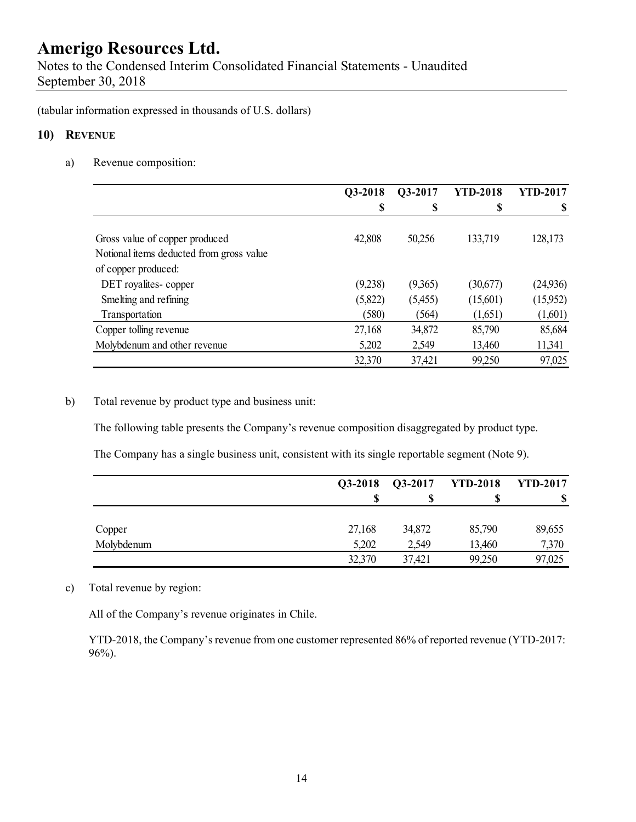Notes to the Condensed Interim Consolidated Financial Statements - Unaudited September 30, 2018

(tabular information expressed in thousands of U.S. dollars)

### **10) REVENUE**

a) Revenue composition:

|                                          | Q3-2018 | Q3-2017 | <b>YTD-2018</b> | <b>YTD-2017</b> |
|------------------------------------------|---------|---------|-----------------|-----------------|
|                                          | \$      | \$      | \$              | \$              |
|                                          |         |         |                 |                 |
| Gross value of copper produced           | 42,808  | 50,256  | 133,719         | 128,173         |
| Notional items deducted from gross value |         |         |                 |                 |
| of copper produced:                      |         |         |                 |                 |
| DET royalites-copper                     | (9,238) | (9,365) | (30,677)        | (24, 936)       |
| Smelting and refining                    | (5,822) | (5,455) | (15,601)        | (15,952)        |
| Transportation                           | (580)   | (564)   | (1,651)         | (1,601)         |
| Copper tolling revenue                   | 27,168  | 34,872  | 85,790          | 85,684          |
| Molybdenum and other revenue             | 5,202   | 2,549   | 13,460          | 11,341          |
|                                          | 32,370  | 37,421  | 99,250          | 97,025          |

### b) Total revenue by product type and business unit:

The following table presents the Company's revenue composition disaggregated by product type.

The Company has a single business unit, consistent with its single reportable segment (Note 9).

|            | Q3-2018 | $Q3-2017$ | <b>YTD-2018</b> | <b>YTD-2017</b> |
|------------|---------|-----------|-----------------|-----------------|
|            | S       |           |                 | S               |
|            |         |           |                 |                 |
| Copper     | 27,168  | 34,872    | 85,790          | 89,655          |
| Molybdenum | 5,202   | 2,549     | 13,460          | 7,370           |
|            | 32,370  | 37,421    | 99,250          | 97,025          |

### c) Total revenue by region:

All of the Company's revenue originates in Chile.

YTD-2018, the Company's revenue from one customer represented 86% of reported revenue (YTD-2017: 96%).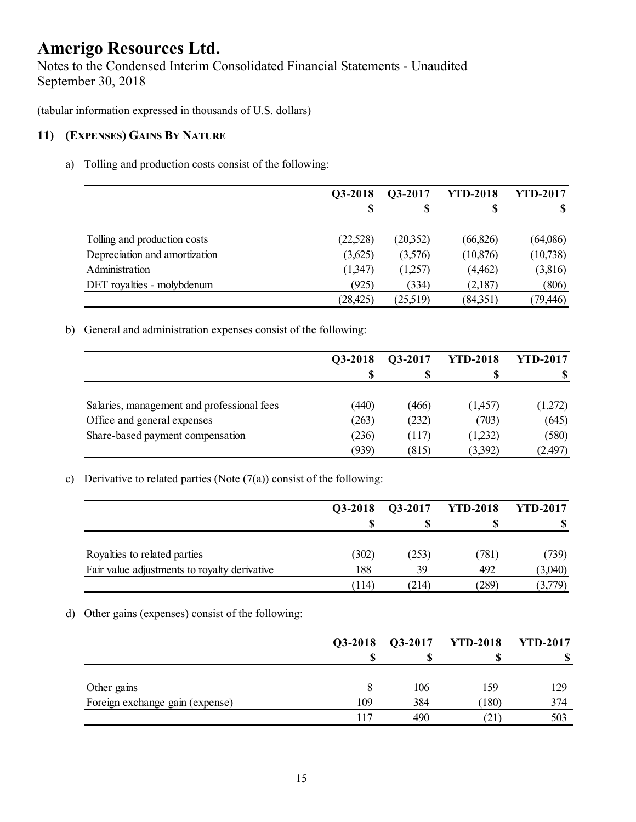Notes to the Condensed Interim Consolidated Financial Statements - Unaudited September 30, 2018

(tabular information expressed in thousands of U.S. dollars)

### **11) (EXPENSES) GAINS BY NATURE**

a) Tolling and production costs consist of the following:

|                               | <b>O3-2018</b> | <b>O3-2017</b> | <b>YTD-2018</b> | <b>YTD-2017</b> |
|-------------------------------|----------------|----------------|-----------------|-----------------|
|                               | S              |                | S               |                 |
|                               |                |                |                 |                 |
| Tolling and production costs  | (22,528)       | (20,352)       | (66, 826)       | (64,086)        |
| Depreciation and amortization | (3,625)        | (3,576)        | (10, 876)       | (10, 738)       |
| Administration                | (1,347)        | (1,257)        | (4, 462)        | (3,816)         |
| DET royalties - molybdenum    | (925)          | (334)          | (2,187)         | (806)           |
|                               | (28, 425)      | (25,519)       | (84,351)        | (79, 446)       |

b) General and administration expenses consist of the following:

|                                            | O3-2018 | O3-2017 | <b>YTD-2018</b> | <b>YTD-2017</b>  |
|--------------------------------------------|---------|---------|-----------------|------------------|
|                                            |         |         |                 |                  |
| Salaries, management and professional fees | (440)   | (466)   | (1,457)         |                  |
| Office and general expenses                | (263)   | (232)   | (703)           | (1,272)<br>(645) |
| Share-based payment compensation           | (236)   | (117)   | (1,232)         | (580)            |
|                                            | (939)   | (815)   | (3,392)         | (2,497)          |

#### c) Derivative to related parties (Note  $(7(a))$  consist of the following:

|                                              | Q3-2018 | Q3-2017 | <b>YTD-2018</b> | <b>YTD-2017</b> |
|----------------------------------------------|---------|---------|-----------------|-----------------|
|                                              |         |         |                 |                 |
| Royalties to related parties                 | (302)   | (253)   | (781)           | (739)           |
| Fair value adjustments to royalty derivative | 188     | 39      | 492             | (3,040)         |
|                                              | (114)   | (214)   | (289)           | (3,779)         |

### d) Other gains (expenses) consist of the following:

|                                 | Q3-2018 |     | Q3-2017 YTD-2018 | <b>YTD-2017</b> |
|---------------------------------|---------|-----|------------------|-----------------|
|                                 |         |     |                  | ۱D              |
|                                 |         |     |                  |                 |
| Other gains                     |         | 106 | 159              | 129             |
| Foreign exchange gain (expense) | 109     | 384 | (180)            | 374             |
|                                 | 117     | 490 | (21)             | 503             |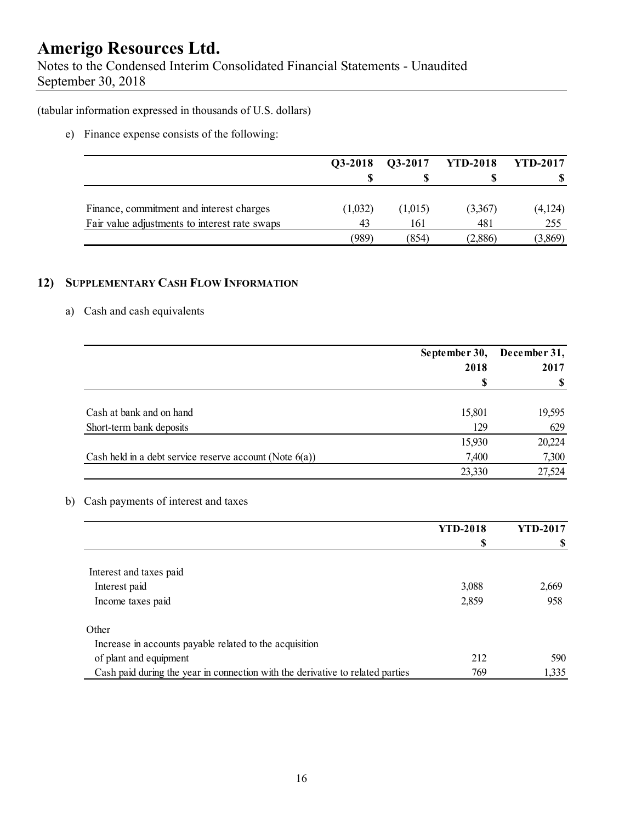Notes to the Condensed Interim Consolidated Financial Statements - Unaudited September 30, 2018

(tabular information expressed in thousands of U.S. dollars)

e) Finance expense consists of the following:

|                                               | Q3-2018 | Q3-2017 | <b>YTD-2018</b> | <b>YTD-2017</b> |
|-----------------------------------------------|---------|---------|-----------------|-----------------|
|                                               | S       |         |                 |                 |
|                                               |         |         |                 |                 |
| Finance, commitment and interest charges      | (1,032) | (1,015) | (3,367)         | (4,124)         |
| Fair value adjustments to interest rate swaps | 43      | 161     | 481             | 255             |
|                                               | (989)   | (854)   | (2,886)         | (3,869)         |

### **12) SUPPLEMENTARY CASH FLOW INFORMATION**

### a) Cash and cash equivalents

|                                                            | September 30, | December 31, |  |
|------------------------------------------------------------|---------------|--------------|--|
|                                                            | 2018          | 2017         |  |
|                                                            |               |              |  |
|                                                            |               |              |  |
| Cash at bank and on hand                                   | 15,801        | 19,595       |  |
| Short-term bank deposits                                   | 129           | 629          |  |
|                                                            | 15,930        | 20,224       |  |
| Cash held in a debt service reserve account (Note $6(a)$ ) | 7,400         | 7,300        |  |
|                                                            | 23,330        | 27,524       |  |

### b) Cash payments of interest and taxes

|                                                                                | <b>YTD-2018</b> | <b>YTD-2017</b> |
|--------------------------------------------------------------------------------|-----------------|-----------------|
|                                                                                | \$              | S               |
|                                                                                |                 |                 |
| Interest and taxes paid                                                        |                 |                 |
| Interest paid                                                                  | 3,088           | 2,669           |
| Income taxes paid                                                              | 2,859           | 958             |
| Other                                                                          |                 |                 |
| Increase in accounts payable related to the acquisition                        |                 |                 |
| of plant and equipment                                                         | 212             | 590             |
| Cash paid during the year in connection with the derivative to related parties | 769             | 1,335           |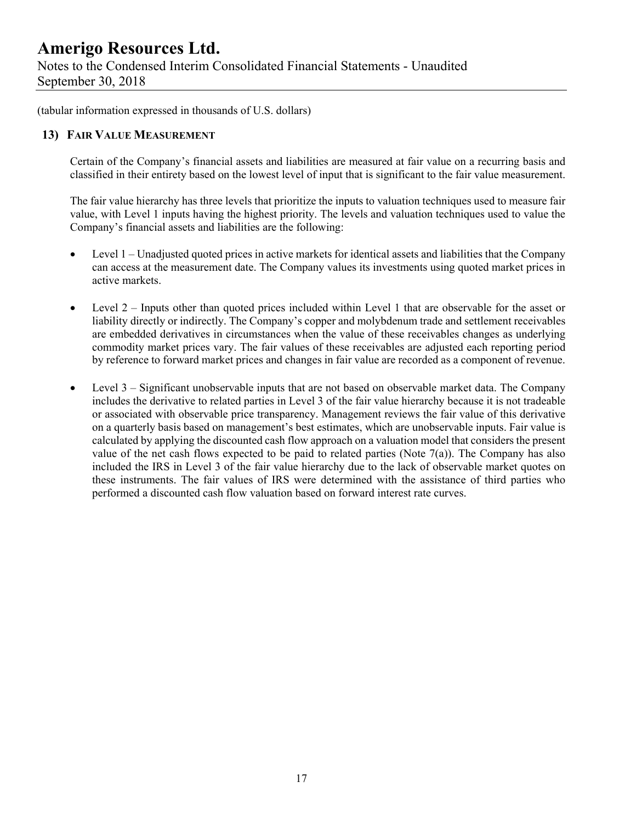Notes to the Condensed Interim Consolidated Financial Statements - Unaudited September 30, 2018

(tabular information expressed in thousands of U.S. dollars)

### **13) FAIR VALUE MEASUREMENT**

Certain of the Company's financial assets and liabilities are measured at fair value on a recurring basis and classified in their entirety based on the lowest level of input that is significant to the fair value measurement.

The fair value hierarchy has three levels that prioritize the inputs to valuation techniques used to measure fair value, with Level 1 inputs having the highest priority. The levels and valuation techniques used to value the Company's financial assets and liabilities are the following:

- Level 1 Unadjusted quoted prices in active markets for identical assets and liabilities that the Company can access at the measurement date. The Company values its investments using quoted market prices in active markets.
- Level 2 Inputs other than quoted prices included within Level 1 that are observable for the asset or liability directly or indirectly. The Company's copper and molybdenum trade and settlement receivables are embedded derivatives in circumstances when the value of these receivables changes as underlying commodity market prices vary. The fair values of these receivables are adjusted each reporting period by reference to forward market prices and changes in fair value are recorded as a component of revenue.
- Level 3 Significant unobservable inputs that are not based on observable market data. The Company includes the derivative to related parties in Level 3 of the fair value hierarchy because it is not tradeable or associated with observable price transparency. Management reviews the fair value of this derivative on a quarterly basis based on management's best estimates, which are unobservable inputs. Fair value is calculated by applying the discounted cash flow approach on a valuation model that considers the present value of the net cash flows expected to be paid to related parties (Note 7(a)). The Company has also included the IRS in Level 3 of the fair value hierarchy due to the lack of observable market quotes on these instruments. The fair values of IRS were determined with the assistance of third parties who performed a discounted cash flow valuation based on forward interest rate curves.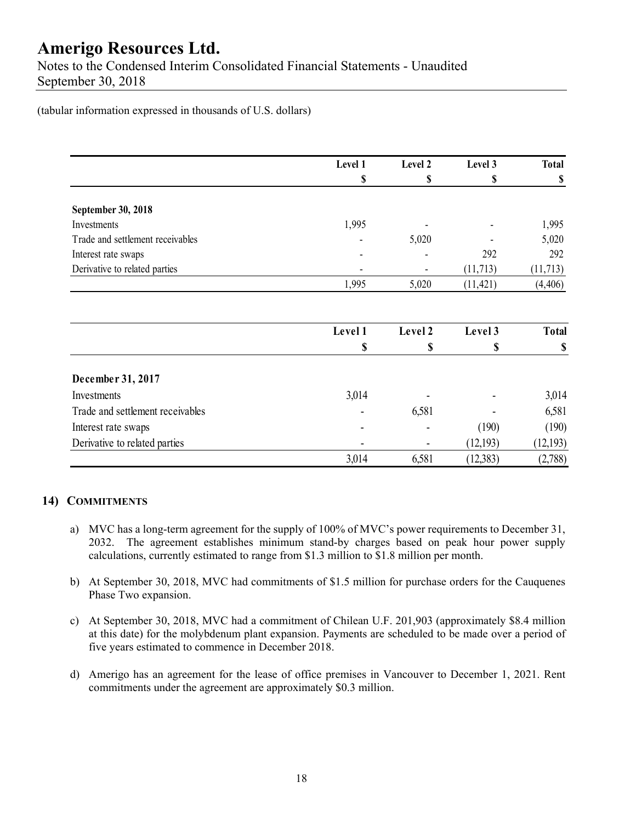Notes to the Condensed Interim Consolidated Financial Statements - Unaudited September 30, 2018

(tabular information expressed in thousands of U.S. dollars)

|                                  | Level 1 | Level 2 | Level 3   | <b>Total</b> |
|----------------------------------|---------|---------|-----------|--------------|
|                                  | \$      | \$      | \$        | \$           |
| September 30, 2018               |         |         |           |              |
| Investments                      | 1,995   |         |           | 1,995        |
| Trade and settlement receivables |         | 5,020   |           | 5,020        |
| Interest rate swaps              |         |         | 292       | 292          |
| Derivative to related parties    |         |         | (11, 713) | (11, 713)    |
|                                  | 1,995   | 5,020   | (11, 421) | (4, 406)     |
|                                  | Level 1 | Level 2 | Level 3   | <b>Total</b> |
|                                  | \$      | \$      | \$        | \$           |
| December 31, 2017                |         |         |           |              |
| Investments                      | 3,014   |         |           | 3,014        |
| Trade and settlement receivables |         | 6,581   |           | 6,581        |
| Interest rate swaps              |         |         | (190)     | (190)        |
| Derivative to related parties    |         |         | (12,193)  | (12, 193)    |
|                                  | 3,014   | 6,581   | (12, 383) | (2,788)      |

### **14) COMMITMENTS**

- a) MVC has a long-term agreement for the supply of 100% of MVC's power requirements to December 31, 2032. The agreement establishes minimum stand-by charges based on peak hour power supply calculations, currently estimated to range from \$1.3 million to \$1.8 million per month.
- b) At September 30, 2018, MVC had commitments of \$1.5 million for purchase orders for the Cauquenes Phase Two expansion.
- c) At September 30, 2018, MVC had a commitment of Chilean U.F. 201,903 (approximately \$8.4 million at this date) for the molybdenum plant expansion. Payments are scheduled to be made over a period of five years estimated to commence in December 2018.
- d) Amerigo has an agreement for the lease of office premises in Vancouver to December 1, 2021. Rent commitments under the agreement are approximately \$0.3 million.